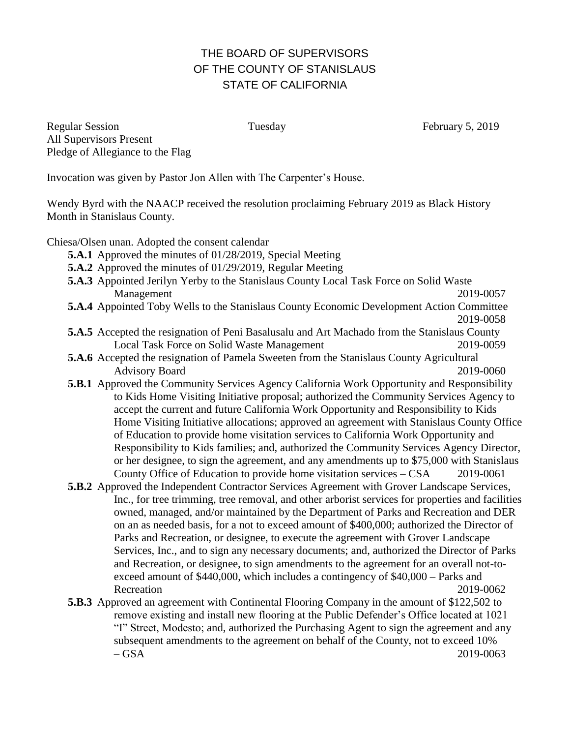## THE BOARD OF SUPERVISORS OF THE COUNTY OF STANISLAUS STATE OF CALIFORNIA

Regular Session Tuesday Tuesday February 5, 2019 All Supervisors Present Pledge of Allegiance to the Flag

Invocation was given by Pastor Jon Allen with The Carpenter's House.

Wendy Byrd with the NAACP received the resolution proclaiming February 2019 as Black History Month in Stanislaus County.

Chiesa/Olsen unan. Adopted the consent calendar

- **5.A.1** Approved the minutes of 01/28/2019, Special Meeting
- **5.A.2** Approved the minutes of 01/29/2019, Regular Meeting
- **5.A.3** Appointed Jerilyn Yerby to the Stanislaus County Local Task Force on Solid Waste Management 2019-0057
- **5.A.4** Appointed Toby Wells to the Stanislaus County Economic Development Action Committee 2019-0058
- **5.A.5** Accepted the resignation of Peni Basalusalu and Art Machado from the Stanislaus County Local Task Force on Solid Waste Management 2019-0059
- **5.A.6** Accepted the resignation of Pamela Sweeten from the Stanislaus County Agricultural Advisory Board 2019-0060
- **5.B.1** Approved the Community Services Agency California Work Opportunity and Responsibility to Kids Home Visiting Initiative proposal; authorized the Community Services Agency to accept the current and future California Work Opportunity and Responsibility to Kids Home Visiting Initiative allocations; approved an agreement with Stanislaus County Office of Education to provide home visitation services to California Work Opportunity and Responsibility to Kids families; and, authorized the Community Services Agency Director, or her designee, to sign the agreement, and any amendments up to \$75,000 with Stanislaus County Office of Education to provide home visitation services – CSA 2019-0061
- **5.B.2** Approved the Independent Contractor Services Agreement with Grover Landscape Services, Inc., for tree trimming, tree removal, and other arborist services for properties and facilities owned, managed, and/or maintained by the Department of Parks and Recreation and DER on an as needed basis, for a not to exceed amount of \$400,000; authorized the Director of Parks and Recreation, or designee, to execute the agreement with Grover Landscape Services, Inc., and to sign any necessary documents; and, authorized the Director of Parks and Recreation, or designee, to sign amendments to the agreement for an overall not-toexceed amount of \$440,000, which includes a contingency of \$40,000 – Parks and Recreation 2019-0062
- **5.B.3** Approved an agreement with Continental Flooring Company in the amount of \$122,502 to remove existing and install new flooring at the Public Defender's Office located at 1021 "I" Street, Modesto; and, authorized the Purchasing Agent to sign the agreement and any subsequent amendments to the agreement on behalf of the County, not to exceed 10%  $-$  GSA 2019-0063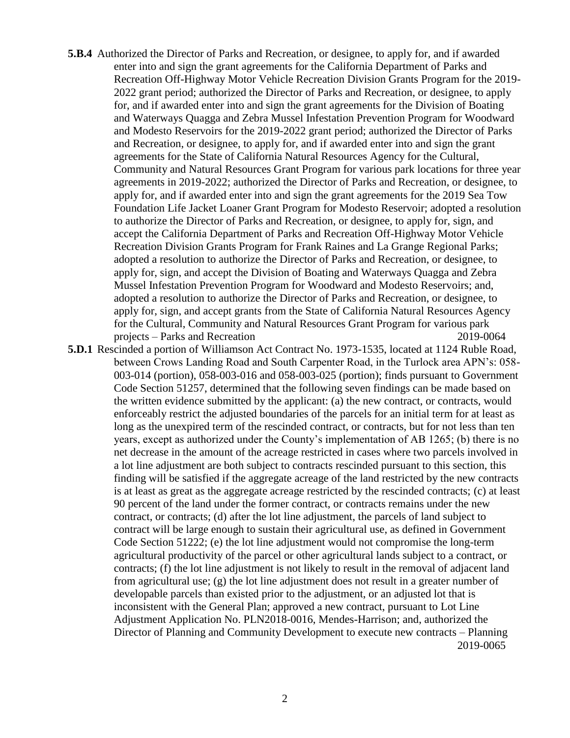- **5.B.4** Authorized the Director of Parks and Recreation, or designee, to apply for, and if awarded enter into and sign the grant agreements for the California Department of Parks and Recreation Off-Highway Motor Vehicle Recreation Division Grants Program for the 2019- 2022 grant period; authorized the Director of Parks and Recreation, or designee, to apply for, and if awarded enter into and sign the grant agreements for the Division of Boating and Waterways Quagga and Zebra Mussel Infestation Prevention Program for Woodward and Modesto Reservoirs for the 2019-2022 grant period; authorized the Director of Parks and Recreation, or designee, to apply for, and if awarded enter into and sign the grant agreements for the State of California Natural Resources Agency for the Cultural, Community and Natural Resources Grant Program for various park locations for three year agreements in 2019-2022; authorized the Director of Parks and Recreation, or designee, to apply for, and if awarded enter into and sign the grant agreements for the 2019 Sea Tow Foundation Life Jacket Loaner Grant Program for Modesto Reservoir; adopted a resolution to authorize the Director of Parks and Recreation, or designee, to apply for, sign, and accept the California Department of Parks and Recreation Off-Highway Motor Vehicle Recreation Division Grants Program for Frank Raines and La Grange Regional Parks; adopted a resolution to authorize the Director of Parks and Recreation, or designee, to apply for, sign, and accept the Division of Boating and Waterways Quagga and Zebra Mussel Infestation Prevention Program for Woodward and Modesto Reservoirs; and, adopted a resolution to authorize the Director of Parks and Recreation, or designee, to apply for, sign, and accept grants from the State of California Natural Resources Agency for the Cultural, Community and Natural Resources Grant Program for various park projects – Parks and Recreation 2019-0064
- **5.D.1** Rescinded a portion of Williamson Act Contract No. 1973-1535, located at 1124 Ruble Road, between Crows Landing Road and South Carpenter Road, in the Turlock area APN's: 058- 003-014 (portion), 058-003-016 and 058-003-025 (portion); finds pursuant to Government Code Section 51257, determined that the following seven findings can be made based on the written evidence submitted by the applicant: (a) the new contract, or contracts, would enforceably restrict the adjusted boundaries of the parcels for an initial term for at least as long as the unexpired term of the rescinded contract, or contracts, but for not less than ten years, except as authorized under the County's implementation of AB 1265; (b) there is no net decrease in the amount of the acreage restricted in cases where two parcels involved in a lot line adjustment are both subject to contracts rescinded pursuant to this section, this finding will be satisfied if the aggregate acreage of the land restricted by the new contracts is at least as great as the aggregate acreage restricted by the rescinded contracts; (c) at least 90 percent of the land under the former contract, or contracts remains under the new contract, or contracts; (d) after the lot line adjustment, the parcels of land subject to contract will be large enough to sustain their agricultural use, as defined in Government Code Section 51222; (e) the lot line adjustment would not compromise the long-term agricultural productivity of the parcel or other agricultural lands subject to a contract, or contracts; (f) the lot line adjustment is not likely to result in the removal of adjacent land from agricultural use; (g) the lot line adjustment does not result in a greater number of developable parcels than existed prior to the adjustment, or an adjusted lot that is inconsistent with the General Plan; approved a new contract, pursuant to Lot Line Adjustment Application No. PLN2018-0016, Mendes-Harrison; and, authorized the Director of Planning and Community Development to execute new contracts – Planning 2019-0065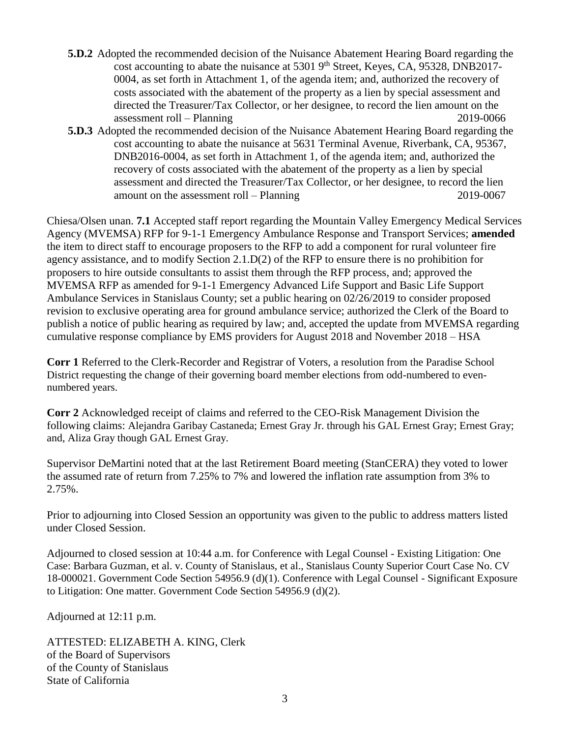- **5.D.2** Adopted the recommended decision of the Nuisance Abatement Hearing Board regarding the cost accounting to abate the nuisance at  $5301$  9<sup>th</sup> Street, Keyes, CA, 95328, DNB2017-0004, as set forth in Attachment 1, of the agenda item; and, authorized the recovery of costs associated with the abatement of the property as a lien by special assessment and directed the Treasurer/Tax Collector, or her designee, to record the lien amount on the assessment roll – Planning 2019-0066
- **5.D.3** Adopted the recommended decision of the Nuisance Abatement Hearing Board regarding the cost accounting to abate the nuisance at 5631 Terminal Avenue, Riverbank, CA, 95367, DNB2016-0004, as set forth in Attachment 1, of the agenda item; and, authorized the recovery of costs associated with the abatement of the property as a lien by special assessment and directed the Treasurer/Tax Collector, or her designee, to record the lien amount on the assessment roll – Planning 2019-0067

Chiesa/Olsen unan. **7.1** Accepted staff report regarding the Mountain Valley Emergency Medical Services Agency (MVEMSA) RFP for 9-1-1 Emergency Ambulance Response and Transport Services; **amended** the item to direct staff to encourage proposers to the RFP to add a component for rural volunteer fire agency assistance, and to modify Section 2.1.D(2) of the RFP to ensure there is no prohibition for proposers to hire outside consultants to assist them through the RFP process, and; approved the MVEMSA RFP as amended for 9-1-1 Emergency Advanced Life Support and Basic Life Support Ambulance Services in Stanislaus County; set a public hearing on 02/26/2019 to consider proposed revision to exclusive operating area for ground ambulance service; authorized the Clerk of the Board to publish a notice of public hearing as required by law; and, accepted the update from MVEMSA regarding cumulative response compliance by EMS providers for August 2018 and November 2018 – HSA

**Corr 1** Referred to the Clerk-Recorder and Registrar of Voters, a resolution from the Paradise School District requesting the change of their governing board member elections from odd-numbered to evennumbered years.

**Corr 2** Acknowledged receipt of claims and referred to the CEO-Risk Management Division the following claims: Alejandra Garibay Castaneda; Ernest Gray Jr. through his GAL Ernest Gray; Ernest Gray; and, Aliza Gray though GAL Ernest Gray.

Supervisor DeMartini noted that at the last Retirement Board meeting (StanCERA) they voted to lower the assumed rate of return from 7.25% to 7% and lowered the inflation rate assumption from 3% to 2.75%.

Prior to adjourning into Closed Session an opportunity was given to the public to address matters listed under Closed Session.

Adjourned to closed session at 10:44 a.m. for Conference with Legal Counsel - Existing Litigation: One Case: Barbara Guzman, et al. v. County of Stanislaus, et al., Stanislaus County Superior Court Case No. CV 18-000021. Government Code Section 54956.9 (d)(1). Conference with Legal Counsel - Significant Exposure to Litigation: One matter. Government Code Section 54956.9 (d)(2).

Adjourned at 12:11 p.m.

ATTESTED: ELIZABETH A. KING, Clerk of the Board of Supervisors of the County of Stanislaus State of California